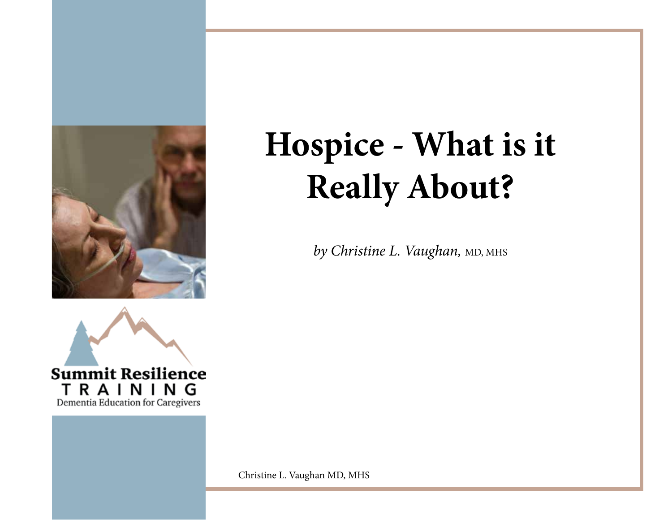

by Christine L. Vaughan, MD, MHS



Christine L. Vaughan MD, MHS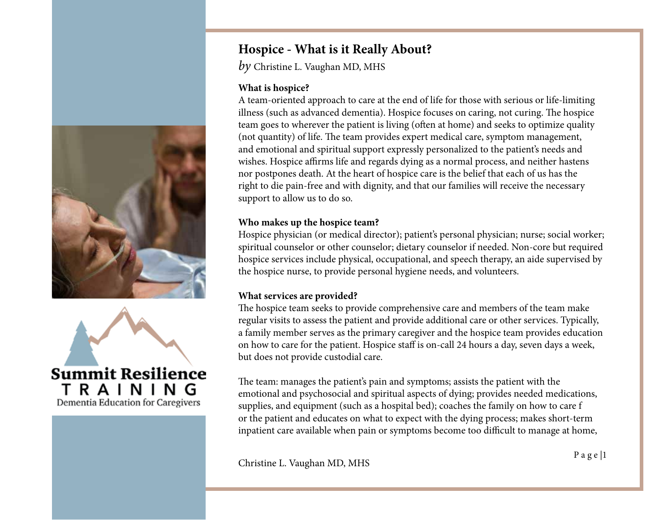



*by* Christine L. Vaughan MD, MHS

#### **What is hospice?**

A team-oriented approach to care at the end of life for those with serious or life-limiting illness (such as advanced dementia). Hospice focuses on caring, not curing. The hospice team goes to wherever the patient is living (often at home) and seeks to optimize quality (not quantity) of life. The team provides expert medical care, symptom management, and emotional and spiritual support expressly personalized to the patient's needs and wishes. Hospice affirms life and regards dying as a normal process, and neither hastens nor postpones death. At the heart of hospice care is the belief that each of us has the right to die pain-free and with dignity, and that our families will receive the necessary support to allow us to do so.

#### **Who makes up the hospice team?**

Hospice physician (or medical director); patient's personal physician; nurse; social worker; spiritual counselor or other counselor; dietary counselor if needed. Non-core but required hospice services include physical, occupational, and speech therapy, an aide supervised by the hospice nurse, to provide personal hygiene needs, and volunteers.

## **What services are provided?**

The hospice team seeks to provide comprehensive care and members of the team make regular visits to assess the patient and provide additional care or other services. Typically, a family member serves as the primary caregiver and the hospice team provides education on how to care for the patient. Hospice staff is on-call 24 hours a day, seven days a week, but does not provide custodial care.

The team: manages the patient's pain and symptoms; assists the patient with the emotional and psychosocial and spiritual aspects of dying; provides needed medications, supplies, and equipment (such as a hospital bed); coaches the family on how to care f or the patient and educates on what to expect with the dying process; makes short-term inpatient care available when pain or symptoms become too difficult to manage at home,

P a g e |1 Christine L. Vaughan MD, MHS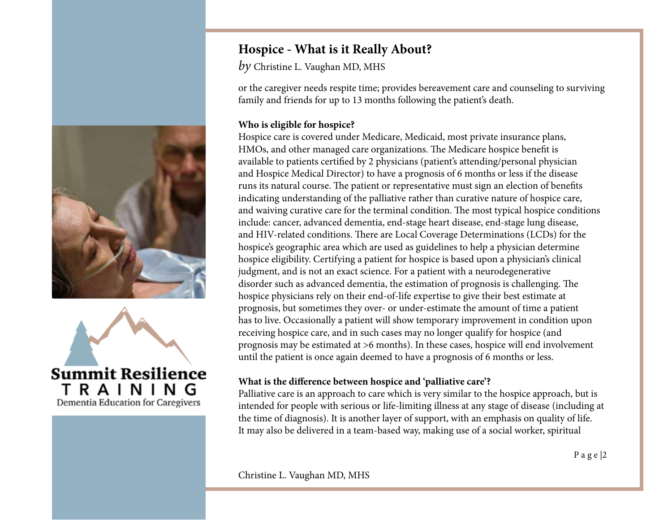



*by* Christine L. Vaughan MD, MHS

or the caregiver needs respite time; provides bereavement care and counseling to surviving family and friends for up to 13 months following the patient's death.

## **Who is eligible for hospice?**

Hospice care is covered under Medicare, Medicaid, most private insurance plans, HMOs, and other managed care organizations. The Medicare hospice benefit is available to patients certified by 2 physicians (patient's attending/personal physician and Hospice Medical Director) to have a prognosis of 6 months or less if the disease runs its natural course. The patient or representative must sign an election of benefits indicating understanding of the palliative rather than curative nature of hospice care, and waiving curative care for the terminal condition. The most typical hospice conditions include: cancer, advanced dementia, end-stage heart disease, end-stage lung disease, and HIV-related conditions. There are Local Coverage Determinations (LCDs) for the hospice's geographic area which are used as guidelines to help a physician determine hospice eligibility. Certifying a patient for hospice is based upon a physician's clinical judgment, and is not an exact science. For a patient with a neurodegenerative disorder such as advanced dementia, the estimation of prognosis is challenging. The hospice physicians rely on their end-of-life expertise to give their best estimate at prognosis, but sometimes they over- or under-estimate the amount of time a patient has to live. Occasionally a patient will show temporary improvement in condition upon receiving hospice care, and in such cases may no longer qualify for hospice (and prognosis may be estimated at >6 months). In these cases, hospice will end involvement until the patient is once again deemed to have a prognosis of 6 months or less.

## **What is the difference between hospice and 'palliative care'?**

Palliative care is an approach to care which is very similar to the hospice approach, but is intended for people with serious or life-limiting illness at any stage of disease (including at the time of diagnosis). It is another layer of support, with an emphasis on quality of life. It may also be delivered in a team-based way, making use of a social worker, spiritual

Christine L. Vaughan MD, MHS